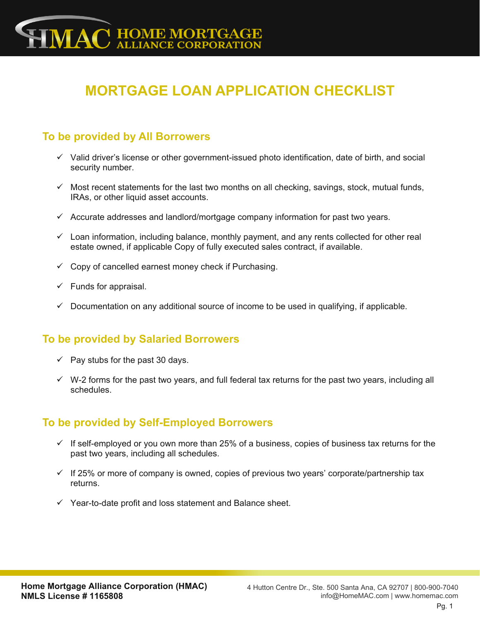# **MORTGAGE LOAN APPLICATION CHECKLIST**

### **To be provided by All Borrowers**

- $\checkmark$  Valid driver's license or other government-issued photo identification, date of birth, and social security number.
- $\checkmark$  Most recent statements for the last two months on all checking, savings, stock, mutual funds, IRAs, or other liquid asset accounts.
- $\checkmark$  Accurate addresses and landlord/mortgage company information for past two years.
- $\checkmark$  Loan information, including balance, monthly payment, and any rents collected for other real estate owned, if applicable Copy of fully executed sales contract, if available.
- $\checkmark$  Copy of cancelled earnest money check if Purchasing.
- $\checkmark$  Funds for appraisal.
- $\checkmark$  Documentation on any additional source of income to be used in qualifying, if applicable.

#### **To be provided by Salaried Borrowers**

- $\checkmark$  Pay stubs for the past 30 days.
- $\checkmark$  W-2 forms for the past two years, and full federal tax returns for the past two years, including all schedules.

#### **To be provided by Self-Employed Borrowers**

- $\checkmark$  If self-employed or you own more than 25% of a business, copies of business tax returns for the past two years, including all schedules.
- $\checkmark$  If 25% or more of company is owned, copies of previous two years' corporate/partnership tax returns.
- ✓ Year-to-date profit and loss statement and Balance sheet.